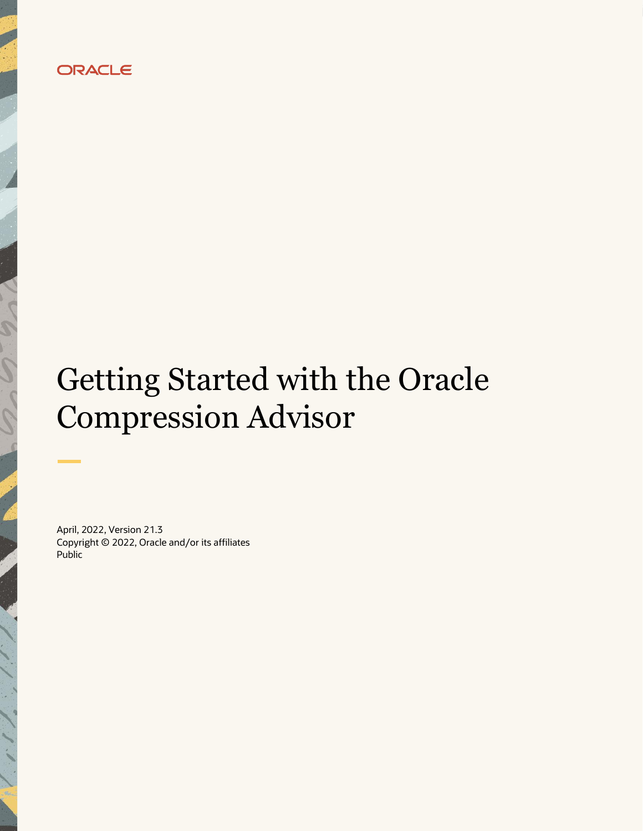

# Getting Started with the Oracle Compression Advisor

April, 2022, Version 21.3 Copyright © 2022, Oracle and/or its affiliates Public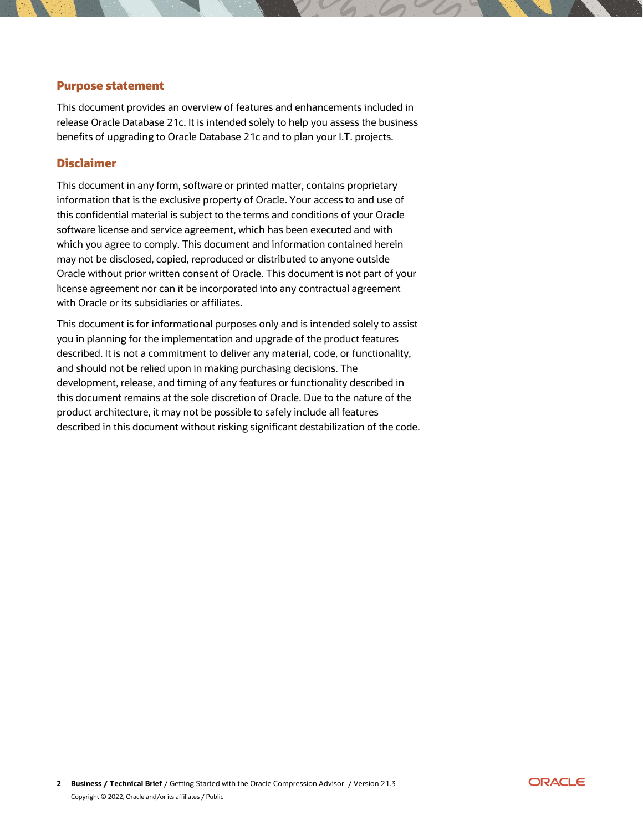## <span id="page-1-0"></span>**Purpose statement**

This document provides an overview of features and enhancements included in release Oracle Database 21c. It is intended solely to help you assess the business benefits of upgrading to Oracle Database 21c and to plan your I.T. projects.

#### <span id="page-1-1"></span>**Disclaimer**

This document in any form, software or printed matter, contains proprietary information that is the exclusive property of Oracle. Your access to and use of this confidential material is subject to the terms and conditions of your Oracle software license and service agreement, which has been executed and with which you agree to comply. This document and information contained herein may not be disclosed, copied, reproduced or distributed to anyone outside Oracle without prior written consent of Oracle. This document is not part of your license agreement nor can it be incorporated into any contractual agreement with Oracle or its subsidiaries or affiliates.

This document is for informational purposes only and is intended solely to assist you in planning for the implementation and upgrade of the product features described. It is not a commitment to deliver any material, code, or functionality, and should not be relied upon in making purchasing decisions. The development, release, and timing of any features or functionality described in this document remains at the sole discretion of Oracle. Due to the nature of the product architecture, it may not be possible to safely include all features described in this document without risking significant destabilization of the code.

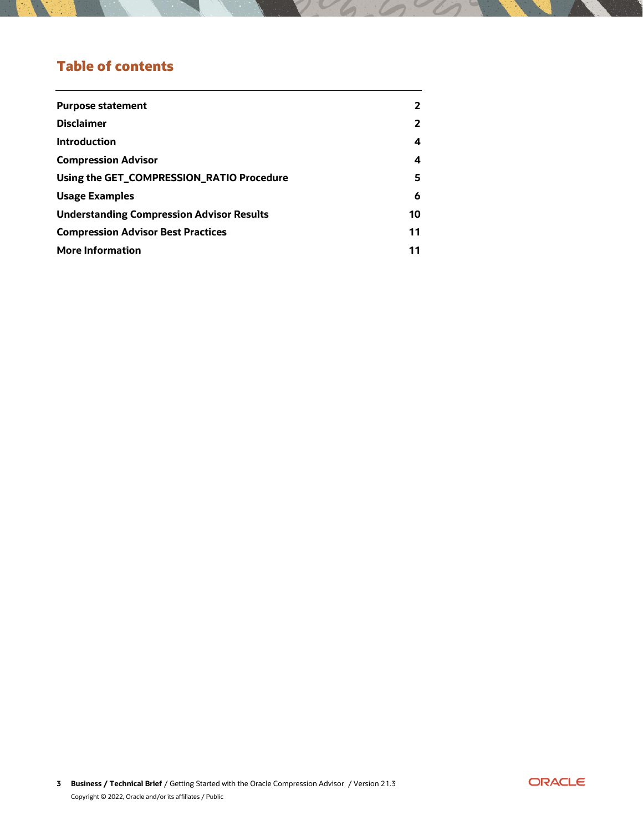# **Table of contents**

| <b>Purpose statement</b>                         | $\overline{\mathbf{2}}$ |
|--------------------------------------------------|-------------------------|
| <b>Disclaimer</b>                                | $\overline{\mathbf{2}}$ |
| <b>Introduction</b>                              | 4                       |
| <b>Compression Advisor</b>                       | 4                       |
| Using the GET_COMPRESSION_RATIO Procedure        | 5                       |
| <b>Usage Examples</b>                            | 6                       |
| <b>Understanding Compression Advisor Results</b> | 10                      |
| <b>Compression Advisor Best Practices</b>        | 11                      |
| <b>More Information</b>                          | 11                      |
|                                                  |                         |

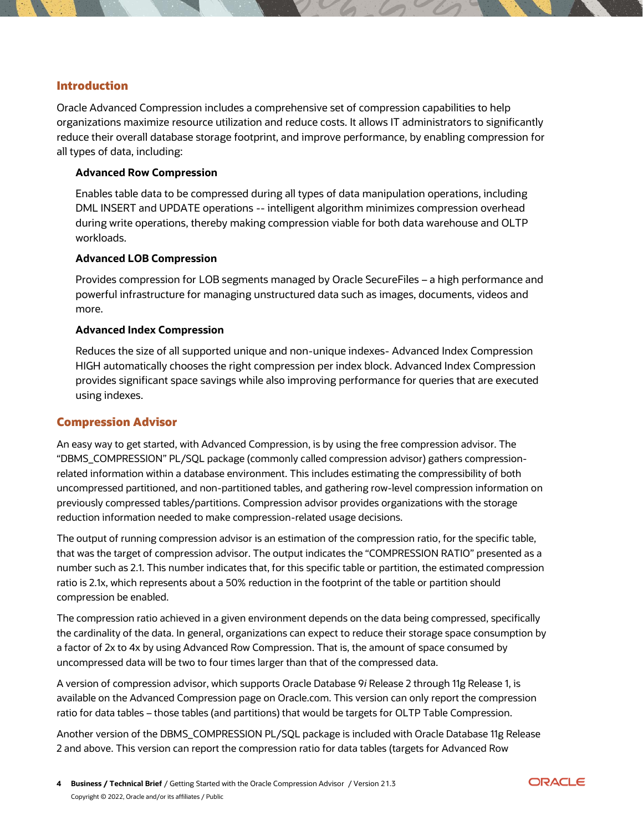## <span id="page-3-0"></span>**Introduction**

Oracle Advanced Compression includes a comprehensive set of compression capabilities to help organizations maximize resource utilization and reduce costs. It allows IT administrators to significantly reduce their overall database storage footprint, and improve performance, by enabling compression for all types of data, including:

#### **Advanced Row Compression**

Enables table data to be compressed during all types of data manipulation operations, including DML INSERT and UPDATE operations -- intelligent algorithm minimizes compression overhead during write operations, thereby making compression viable for both data warehouse and OLTP workloads.

### **Advanced LOB Compression**

Provides compression for LOB segments managed by Oracle SecureFiles – a high performance and powerful infrastructure for managing unstructured data such as images, documents, videos and more.

#### **Advanced Index Compression**

Reduces the size of all supported unique and non-unique indexes- Advanced Index Compression HIGH automatically chooses the right compression per index block. Advanced Index Compression provides significant space savings while also improving performance for queries that are executed using indexes.

#### <span id="page-3-1"></span>**Compression Advisor**

An easy way to get started, with Advanced Compression, is by using the free compression advisor. The "DBMS\_COMPRESSION" PL/SQL package (commonly called compression advisor) gathers compressionrelated information within a database environment. This includes estimating the compressibility of both uncompressed partitioned, and non-partitioned tables, and gathering row-level compression information on previously compressed tables/partitions. Compression advisor provides organizations with the storage reduction information needed to make compression-related usage decisions.

The output of running compression advisor is an estimation of the compression ratio, for the specific table, that was the target of compression advisor. The output indicates the "COMPRESSION RATIO" presented as a number such as 2.1. This number indicates that, for this specific table or partition, the estimated compression ratio is 2.1x, which represents about a 50% reduction in the footprint of the table or partition should compression be enabled.

The compression ratio achieved in a given environment depends on the data being compressed, specifically the cardinality of the data. In general, organizations can expect to reduce their storage space consumption by a factor of 2x to 4x by using Advanced Row Compression. That is, the amount of space consumed by uncompressed data will be two to four times larger than that of the compressed data.

A version of compression advisor, which supports Oracle Database 9*i* Release 2 through 11g Release 1, is available on the Advanced Compression page on Oracle.com. This version can only report the compression ratio for data tables – those tables (and partitions) that would be targets for OLTP Table Compression.

Another version of the DBMS\_COMPRESSION PL/SQL package is included with Oracle Database 11g Release 2 and above. This version can report the compression ratio for data tables (targets for Advanced Row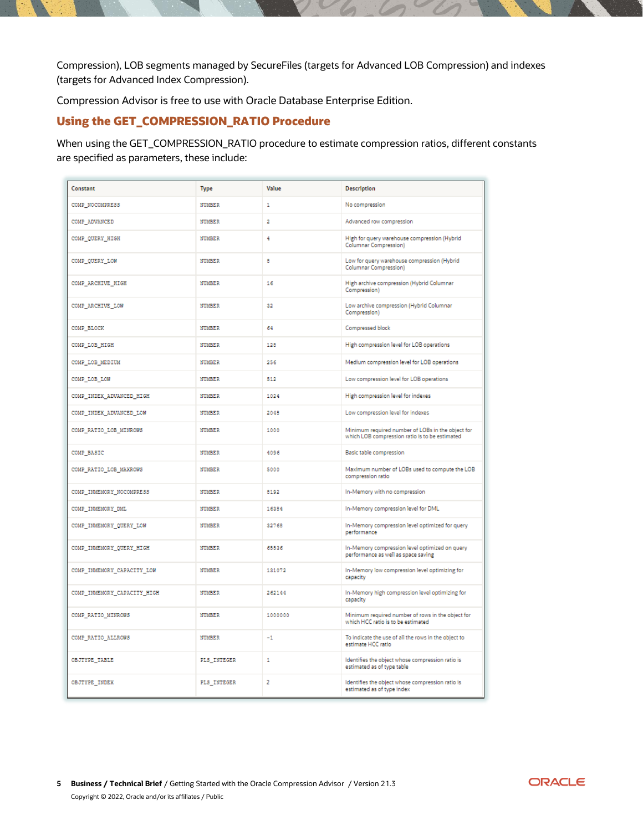Compression), LOB segments managed by SecureFiles (targets for Advanced LOB Compression) and indexes (targets for Advanced Index Compression).

Compression Advisor is free to use with Oracle Database Enterprise Edition.

## <span id="page-4-0"></span>**Using the GET\_COMPRESSION\_RATIO Procedure**

When using the GET\_COMPRESSION\_RATIO procedure to estimate compression ratios, different constants are specified as parameters, these include:

| Constant                    | <b>Type</b>   | Value          | <b>Description</b>                                                                                  |
|-----------------------------|---------------|----------------|-----------------------------------------------------------------------------------------------------|
| COMP NOCOMPRESS             | <b>NUMBER</b> | $\mathbf{1}$   | No compression                                                                                      |
| COMP ADVANCED               | NUMBER        | $\overline{2}$ | Advanced row compression                                                                            |
| COMP QUERY HIGH             | NUMBER        | 4              | High for query warehouse compression (Hybrid<br>Columnar Compression)                               |
| COMP_QUERY_LOW              | <b>NUMBER</b> | a              | Low for query warehouse compression (Hybrid<br>Columnar Compression)                                |
| COMP ARCHIVE HIGH           | NUMBER        | 16             | High archive compression (Hybrid Columnar<br>Compression)                                           |
| COMP ARCHIVE LOW            | NUMBER        | 32             | Low archive compression (Hybrid Columnar<br>Compression)                                            |
| COMP BLOCK                  | NUMBER        | 64             | Compressed block                                                                                    |
| COMP LOB HIGH               | NUMBER        | 128            | High compression level for LOB operations                                                           |
| COMP_LOB_MEDIUM             | NUMBER        | 256            | Medium compression level for LOB operations                                                         |
| COMP_LOB_LOW                | <b>NUMBER</b> | 512            | Low compression level for LOB operations                                                            |
| COMP_INDEX_ADVANCED_HIGH    | NUMBER        | 1024           | High compression level for indexes                                                                  |
| COMP INDEX ADVANCED LOW     | NUMBER        | 2048           | Low compression level for indexes                                                                   |
| COMP RATIO LOB MINROWS      | NUMBER        | 1000           | Minimum required number of LOBs in the object for<br>which LOB compression ratio is to be estimated |
| COMP BASIC                  | NUMBER        | 4096           | Basic table compression                                                                             |
| COMP_RATIO_LOB_MAXROWS      | NUMBER        | 5000           | Maximum number of LOBs used to compute the LOB<br>compression ratio                                 |
| COMP INMEMORY NOCOMPRESS    | <b>NUMBER</b> | 8192           | In-Memory with no compression                                                                       |
| COMP INMEMORY DML           | NUMBER        | 16384          | In-Memory compression level for DML                                                                 |
| COMP INMEMORY QUERY LOW     | NUMBER        | 32768          | In-Memory compression level optimized for query<br>performance                                      |
| COMP INMEMORY QUERY HIGH    | NUMBER        | 65536          | In-Memory compression level optimized on query<br>performance as well as space saving               |
| COMP INMEMORY CAPACITY LOW  | <b>NUMBER</b> | 121072         | In-Memory low compression level optimizing for<br>capacity                                          |
| COMP_INMEMORY_CAPACITY_HIGH | NUMBER        | 262144         | In-Memory high compression level optimizing for<br>capacity                                         |
| COMP_RATIO_MINROWS          | NUMBER        | 1000000        | Minimum required number of rows in the object for<br>which HCC ratio is to be estimated             |
| COMP_RATIO_ALLROWS          | <b>NUMBER</b> | $-1$           | To indicate the use of all the rows in the object to<br>estimate HCC ratio                          |
| OBJTYPE TABLE               | PLS_INTEGER   | $\mathbf{1}$   | Identifies the object whose compression ratio is<br>estimated as of type table                      |
| OBJTYPE INDEX               | PLS INTEGER   | 2              | Identifies the object whose compression ratio is<br>estimated as of type index                      |

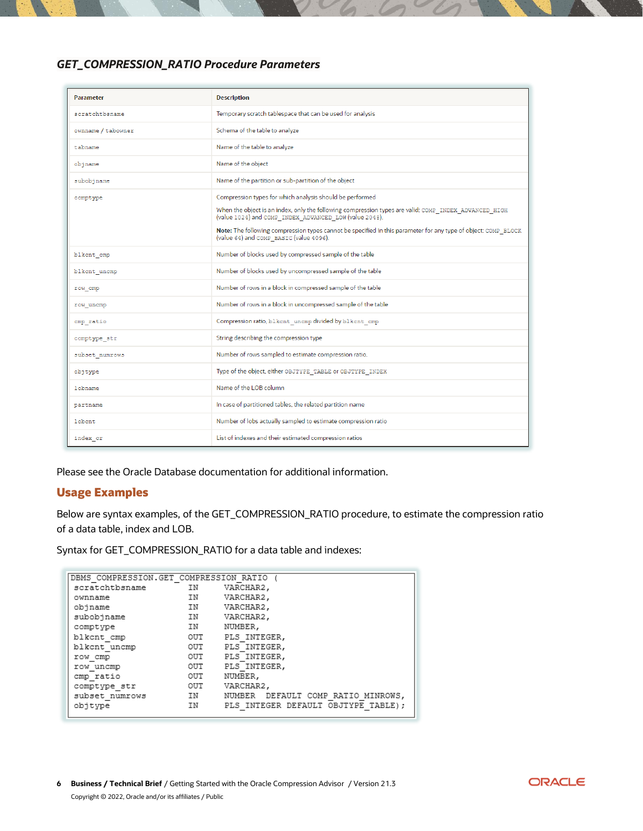## *GET\_COMPRESSION\_RATIO Procedure Parameters*

| <b>Parameter</b>   | <b>Description</b>                                                                                                                                                                                                                                                                                                                                                                       |
|--------------------|------------------------------------------------------------------------------------------------------------------------------------------------------------------------------------------------------------------------------------------------------------------------------------------------------------------------------------------------------------------------------------------|
| scratchtbsname     | Temporary scratch tablespace that can be used for analysis                                                                                                                                                                                                                                                                                                                               |
| ownname / tabowner | Schema of the table to analyze                                                                                                                                                                                                                                                                                                                                                           |
| tabname            | Name of the table to analyze                                                                                                                                                                                                                                                                                                                                                             |
| objname            | Name of the object                                                                                                                                                                                                                                                                                                                                                                       |
| subobjname         | Name of the partition or sub-partition of the object                                                                                                                                                                                                                                                                                                                                     |
| comptype           | Compression types for which analysis should be performed<br>When the object is an index, only the following compression types are valid: COMP INDEX ADVANCED HIGH<br>(value 1024) and COMP INDEX ADVANCED LOW (value 2048).<br>Note: The following compression types cannot be specified in this parameter for any type of object: COMP BLOCK<br>(value 64) and COMP BASIC (value 4096). |
| blkcnt cmp         | Number of blocks used by compressed sample of the table                                                                                                                                                                                                                                                                                                                                  |
| blkcnt uncmp       | Number of blocks used by uncompressed sample of the table                                                                                                                                                                                                                                                                                                                                |
| row cmp            | Number of rows in a block in compressed sample of the table                                                                                                                                                                                                                                                                                                                              |
| row uncmp          | Number of rows in a block in uncompressed sample of the table                                                                                                                                                                                                                                                                                                                            |
| omp ratio          | Compression ratio, blkcnt uncmp divided by blkcnt cmp                                                                                                                                                                                                                                                                                                                                    |
| comptype str       | String describing the compression type                                                                                                                                                                                                                                                                                                                                                   |
| subset numrows     | Number of rows sampled to estimate compression ratio.                                                                                                                                                                                                                                                                                                                                    |
| objtype            | Type of the object, either OBJTYPE TABLE or OBJTYPE INDEX                                                                                                                                                                                                                                                                                                                                |
| lobname            | Name of the LOB column                                                                                                                                                                                                                                                                                                                                                                   |
| partname           | In case of partitioned tables, the related partition name                                                                                                                                                                                                                                                                                                                                |
| lobont             | Number of lobs actually sampled to estimate compression ratio                                                                                                                                                                                                                                                                                                                            |
| index cr           | List of indexes and their estimated compression ratios                                                                                                                                                                                                                                                                                                                                   |

Please see the Oracle Database documentation for additional information.

## <span id="page-5-0"></span>**Usage Examples**

Below are syntax examples, of the GET\_COMPRESSION\_RATIO procedure, to estimate the compression ratio of a data table, index and LOB.

Syntax for GET\_COMPRESSION\_RATIO for a data table and indexes:

| DBMS COMPRESSION.GET COMPRESSION RATIO |     |                                      |
|----------------------------------------|-----|--------------------------------------|
| scratchtbsname                         | ΙN  | VARCHAR2,                            |
| ownname                                | ΙN  | VARCHAR2,                            |
| objname                                | ΙN  | VARCHAR2,                            |
| subobjname                             | IN  | VARCHAR2,                            |
| comptype                               | ΙN  | NUMBER,                              |
| blkcnt cmp                             | OUT | PLS INTEGER,                         |
| blkcnt uncmp                           | OUT | PLS INTEGER,                         |
| row cmp                                | OUT | PLS INTEGER,                         |
| row uncmp                              | OUT | PLS INTEGER.                         |
| cmp ratio                              | OUT | NUMBER,                              |
| comptype str                           | OUT | VARCHAR2,                            |
| subset numrows                         | IN  | NUMBER DEFAULT COMP RATIO MINROWS,   |
| objtype                                | ΙN  | PLS INTEGER DEFAULT OBJTYPE TABLE) ; |

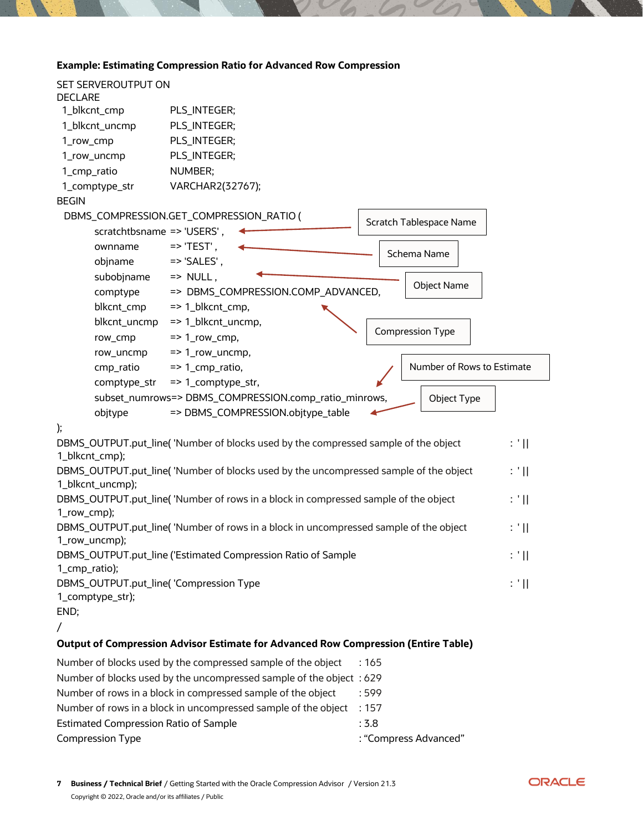## **Example: Estimating Compression Ratio for Advanced Row Compression**

| SET SERVEROUTPUT ON                                                  |                                                                                           |        |  |
|----------------------------------------------------------------------|-------------------------------------------------------------------------------------------|--------|--|
| <b>DECLARE</b><br>1_blkcnt_cmp                                       | PLS_INTEGER;                                                                              |        |  |
| 1_blkcnt_uncmp                                                       | PLS_INTEGER;                                                                              |        |  |
| 1_row_cmp                                                            | PLS_INTEGER;                                                                              |        |  |
| 1_row_uncmp                                                          | PLS_INTEGER;                                                                              |        |  |
| 1_cmp_ratio                                                          | NUMBER;                                                                                   |        |  |
| 1_comptype_str                                                       | VARCHAR2(32767);                                                                          |        |  |
| <b>BEGIN</b>                                                         |                                                                                           |        |  |
|                                                                      | DBMS_COMPRESSION.GET_COMPRESSION_RATIO (                                                  |        |  |
| scratchtbsname => 'USERS',                                           | Scratch Tablespace Name                                                                   |        |  |
| ownname                                                              | $\Rightarrow$ 'TEST',                                                                     |        |  |
| objname                                                              | Schema Name<br>$\Rightarrow$ 'SALES',                                                     |        |  |
| subobjname                                                           | $\Rightarrow$ NULL,                                                                       |        |  |
| comptype                                                             | <b>Object Name</b><br>=> DBMS_COMPRESSION.COMP_ADVANCED,                                  |        |  |
| blkcnt_cmp                                                           | $=$ > 1_blkcnt_cmp,                                                                       |        |  |
| blkcnt_uncmp                                                         | => 1_blkcnt_uncmp,                                                                        |        |  |
| row_cmp                                                              | <b>Compression Type</b><br>$=$ > 1_row_cmp,                                               |        |  |
| row_uncmp                                                            | $=$ > 1_row_uncmp,                                                                        |        |  |
| cmp_ratio                                                            | Number of Rows to Estimate<br>$=$ 1_cmp_ratio,                                            |        |  |
| comptype_str                                                         | => 1_comptype_str,                                                                        |        |  |
|                                                                      | subset_numrows=> DBMS_COMPRESSION.comp_ratio_minrows,<br>Object Type                      |        |  |
| objtype                                                              | => DBMS_COMPRESSION.objtype_table                                                         |        |  |
| );                                                                   |                                                                                           |        |  |
| 1_blkcnt_cmp);                                                       | DBMS_OUTPUT.put_line('Number of blocks used by the compressed sample of the object        | $: '$  |  |
|                                                                      | DBMS_OUTPUT.put_line('Number of blocks used by the uncompressed sample of the object      | : 'II  |  |
| 1_blkcnt_uncmp);                                                     |                                                                                           |        |  |
|                                                                      | DBMS_OUTPUT.put_line( 'Number of rows in a block in compressed sample of the object       | : 'II  |  |
| 1_row_cmp);                                                          |                                                                                           |        |  |
|                                                                      | DBMS_OUTPUT.put_line( 'Number of rows in a block in uncompressed sample of the object     | : ' II |  |
| 1_row_uncmp);                                                        |                                                                                           |        |  |
|                                                                      | DBMS_OUTPUT.put_line ('Estimated Compression Ratio of Sample                              | : '    |  |
| 1_cmp_ratio);<br>DBMS_OUTPUT.put_line( 'Compression Type             |                                                                                           | : 'II  |  |
| 1_comptype_str);                                                     |                                                                                           |        |  |
| END;                                                                 |                                                                                           |        |  |
| $\sqrt{2}$                                                           |                                                                                           |        |  |
|                                                                      | <b>Output of Compression Advisor Estimate for Advanced Row Compression (Entire Table)</b> |        |  |
|                                                                      | Number of blocks used by the compressed sample of the object<br>:165                      |        |  |
| Number of blocks used by the uncompressed sample of the object : 629 |                                                                                           |        |  |
| Number of rows in a block in compressed sample of the object<br>:599 |                                                                                           |        |  |
|                                                                      | Number of rows in a block in uncompressed sample of the object<br>:157                    |        |  |

Compression Type **Example 20** Compress Advanced"

Estimated Compression Ratio of Sample  $\sim$  3.8

ORACLE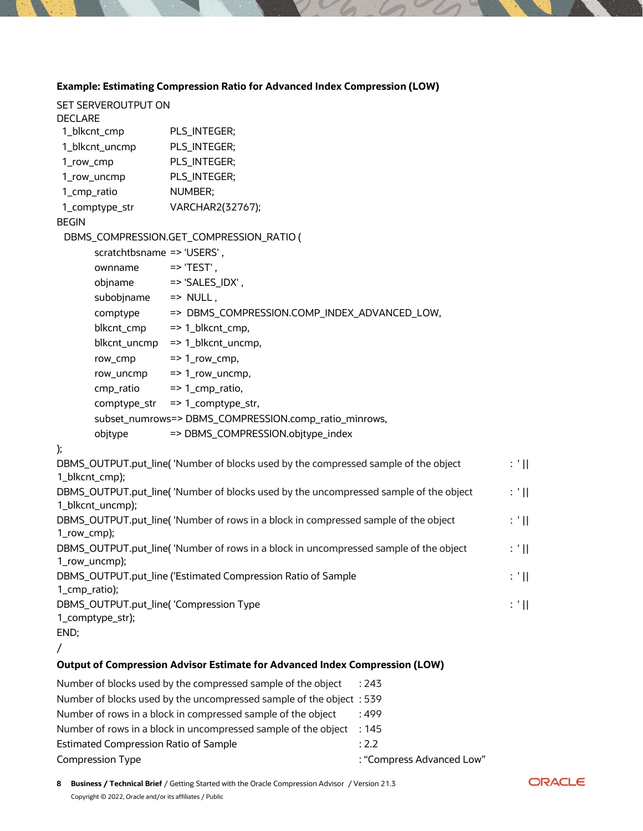## **Example: Estimating Compression Ratio for Advanced Index Compression (LOW)**

| SET SERVEROUTPUT ON                     |                                                                                       |                                   |  |
|-----------------------------------------|---------------------------------------------------------------------------------------|-----------------------------------|--|
| <b>DECLARE</b><br>1_blkcnt_cmp          | PLS_INTEGER;                                                                          |                                   |  |
| 1_blkcnt_uncmp                          | PLS_INTEGER;                                                                          |                                   |  |
| 1_row_cmp                               | PLS_INTEGER;                                                                          |                                   |  |
| 1_row_uncmp                             | PLS_INTEGER;                                                                          |                                   |  |
| 1_cmp_ratio                             | NUMBER;                                                                               |                                   |  |
| 1_comptype_str                          | VARCHAR2(32767);                                                                      |                                   |  |
| <b>BEGIN</b>                            |                                                                                       |                                   |  |
|                                         | DBMS_COMPRESSION.GET_COMPRESSION_RATIO (                                              |                                   |  |
| scratchtbsname => 'USERS',              |                                                                                       |                                   |  |
| ownname                                 | $\Rightarrow$ 'TEST',                                                                 |                                   |  |
| objname                                 | $\Rightarrow$ 'SALES_IDX',                                                            |                                   |  |
| subobjname                              | $\Rightarrow$ NULL,                                                                   |                                   |  |
| comptype                                | => DBMS_COMPRESSION.COMP_INDEX_ADVANCED_LOW,                                          |                                   |  |
| blkcnt_cmp                              | $\Rightarrow$ 1_blkcnt_cmp,                                                           |                                   |  |
| blkcnt_uncmp                            | => 1_blkcnt_uncmp,                                                                    |                                   |  |
| row_cmp                                 | $\Rightarrow$ 1_row_cmp,                                                              |                                   |  |
| row_uncmp                               | $=$ > 1_row_uncmp,                                                                    |                                   |  |
| cmp_ratio                               | => 1_cmp_ratio,                                                                       |                                   |  |
| comptype_str                            | => 1_comptype_str,                                                                    |                                   |  |
|                                         | subset_numrows=> DBMS_COMPRESSION.comp_ratio_minrows,                                 |                                   |  |
| objtype                                 | => DBMS_COMPRESSION.objtype_index                                                     |                                   |  |
| );                                      |                                                                                       |                                   |  |
|                                         | DBMS_OUTPUT.put_line( 'Number of blocks used by the compressed sample of the object   | $: '$ $\mathbb{H}$                |  |
| 1_blkcnt_cmp);                          |                                                                                       |                                   |  |
|                                         | DBMS_OUTPUT.put_line('Number of blocks used by the uncompressed sample of the object  | $\colon$ ' $\mathop{\mathrm{II}}$ |  |
| 1_blkcnt_uncmp);                        |                                                                                       |                                   |  |
|                                         | DBMS_OUTPUT.put_line( 'Number of rows in a block in compressed sample of the object   | : "                               |  |
| 1_row_cmp);                             |                                                                                       |                                   |  |
| 1_row_uncmp);                           | DBMS_OUTPUT.put_line( 'Number of rows in a block in uncompressed sample of the object | : "                               |  |
|                                         | DBMS_OUTPUT.put_line ('Estimated Compression Ratio of Sample                          | : "                               |  |
| 1_cmp_ratio);                           |                                                                                       |                                   |  |
| DBMS_OUTPUT.put_line( 'Compression Type |                                                                                       | $: '$ $\mathbb{H}$                |  |
| 1_comptype_str);                        |                                                                                       |                                   |  |
| END;                                    |                                                                                       |                                   |  |

## /

## **Output of Compression Advisor Estimate for Advanced Index Compression (LOW)**

| Number of blocks used by the compressed sample of the object         | : 743                     |
|----------------------------------------------------------------------|---------------------------|
| Number of blocks used by the uncompressed sample of the object : 539 |                           |
| Number of rows in a block in compressed sample of the object         | .499                      |
| Number of rows in a block in uncompressed sample of the object       | : 145                     |
| <b>Estimated Compression Ratio of Sample</b>                         | : 2.2                     |
| <b>Compression Type</b>                                              | : "Compress Advanced Low" |
|                                                                      |                           |

**8 Business / Technical Brief** / Getting Started with the Oracle Compression Advisor / Version 21.3 Copyright © 2022, Oracle and/or its affiliates / Public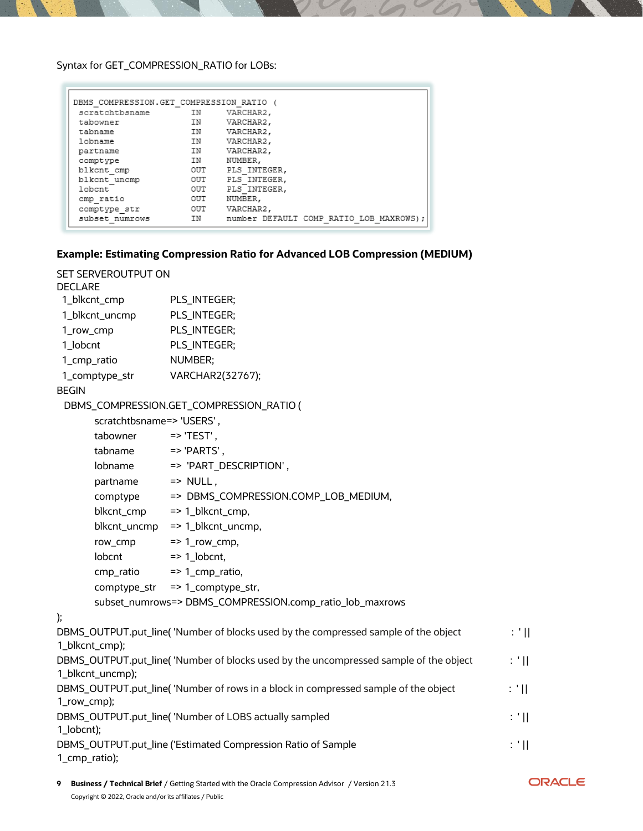Syntax for GET\_COMPRESSION\_RATIO for LOBs:

| DBMS COMPRESSION.GET COMPRESSION RATIO ( |      |                                         |
|------------------------------------------|------|-----------------------------------------|
| scratchtbsname                           | IN   | VARCHAR2,                               |
| tabowner                                 | IN   | VARCHAR2,                               |
| tabname                                  | IN   | VARCHAR2,                               |
| lobname                                  | IN 1 | VARCHAR2,                               |
| partname                                 | IN   | VARCHAR2,                               |
| comptype                                 | IN   | NUMBER,                                 |
| blkcnt cmp                               | OUT  | PLS INTEGER.                            |
| blkcnt uncmp                             | OUT  | PLS INTEGER,                            |
| lobent                                   | OUT  | PLS INTEGER.                            |
| cmp ratio                                | OUT  | NUMBER,                                 |
| comptype str                             | OUT  | VARCHAR2,                               |
| subset numrows                           | IN   | number DEFAULT COMP RATIO LOB MAXROWS): |

## **Example: Estimating Compression Ratio for Advanced LOB Compression (MEDIUM)**

| SET SERVEROUTPUT ON       |                                                                                       |                   |
|---------------------------|---------------------------------------------------------------------------------------|-------------------|
| <b>DECLARE</b>            |                                                                                       |                   |
| 1_blkcnt_cmp              | PLS_INTEGER;                                                                          |                   |
| 1_blkcnt_uncmp            | PLS_INTEGER;                                                                          |                   |
| 1_row_cmp                 | PLS_INTEGER;                                                                          |                   |
| 1_lobcnt                  | PLS_INTEGER;                                                                          |                   |
| 1_cmp_ratio               | NUMBER;                                                                               |                   |
| 1_comptype_str            | VARCHAR2(32767);                                                                      |                   |
| <b>BEGIN</b>              |                                                                                       |                   |
|                           | DBMS_COMPRESSION.GET_COMPRESSION_RATIO (                                              |                   |
| scratchtbsname=> 'USERS', |                                                                                       |                   |
| tabowner                  | $\Rightarrow$ 'TEST',                                                                 |                   |
| tabname                   | $\Rightarrow$ 'PARTS',                                                                |                   |
| lobname                   | => 'PART_DESCRIPTION',                                                                |                   |
| partname                  | $\Rightarrow$ NULL,                                                                   |                   |
| comptype                  | => DBMS_COMPRESSION.COMP_LOB_MEDIUM,                                                  |                   |
| blkcnt_cmp                | => 1_blkcnt_cmp,                                                                      |                   |
| blkcnt_uncmp              | $\Rightarrow$ 1_blkcnt_uncmp,                                                         |                   |
| row_cmp                   | $\Rightarrow$ 1_row_cmp,                                                              |                   |
| lobcnt                    | $\Rightarrow$ 1_lobcnt,                                                               |                   |
| cmp_ratio                 | $=$ > 1_cmp_ratio,                                                                    |                   |
| comptype_str              | => 1_comptype_str,                                                                    |                   |
|                           | subset_numrows=> DBMS_COMPRESSION.comp_ratio_lob_maxrows                              |                   |
| );                        |                                                                                       |                   |
| 1_blkcnt_cmp);            | DBMS_OUTPUT.put_line('Number of blocks used by the compressed sample of the object    | : "               |
| 1_blkcnt_uncmp);          | DBMS_OUTPUT.put_line( 'Number of blocks used by the uncompressed sample of the object | : "               |
| 1_row_cmp);               | DBMS_OUTPUT.put_line( 'Number of rows in a block in compressed sample of the object   | : "非              |
| 1_lobcnt);                | DBMS_OUTPUT.put_line( 'Number of LOBS actually sampled                                | $\mathbb{C}^3$ [[ |
| 1_cmp_ratio);             | DBMS_OUTPUT.put_line ('Estimated Compression Ratio of Sample                          | : '               |

**9 Business / Technical Brief** / Getting Started with the Oracle Compression Advisor / Version 21.3 Copyright © 2022, Oracle and/or its affiliates / Public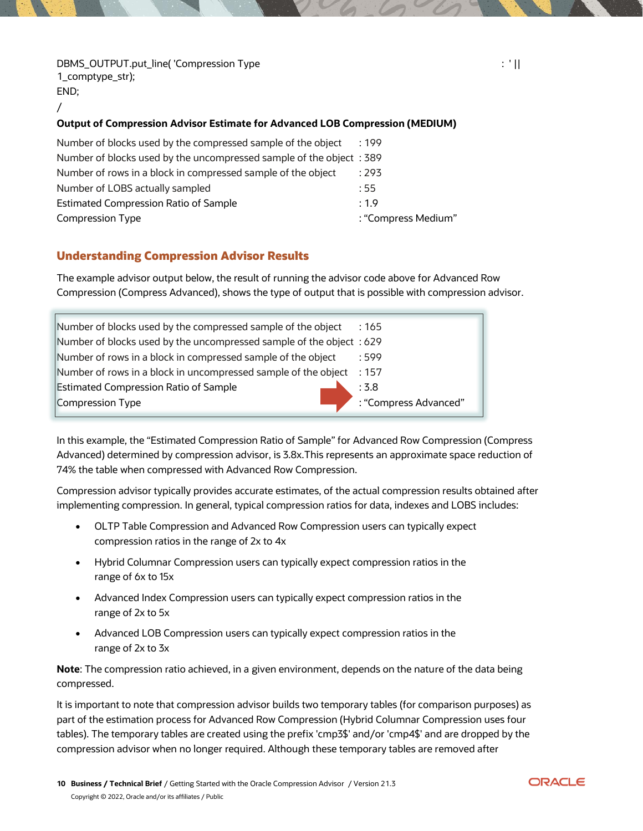DBMS\_OUTPUT.put\_line( 'Compression Type : ' || 1\_comptype\_str); END; /

#### **Output of Compression Advisor Estimate for Advanced LOB Compression (MEDIUM)**

| Number of blocks used by the compressed sample of the object        | :199                |
|---------------------------------------------------------------------|---------------------|
| Number of blocks used by the uncompressed sample of the object: 389 |                     |
| Number of rows in a block in compressed sample of the object        | :293                |
| Number of LOBS actually sampled                                     | :55                 |
| <b>Estimated Compression Ratio of Sample</b>                        | : 1.9               |
| <b>Compression Type</b>                                             | : "Compress Medium" |

## <span id="page-9-0"></span>**Understanding Compression Advisor Results**

The example advisor output below, the result of running the advisor code above for Advanced Row Compression (Compress Advanced), shows the type of output that is possible with compression advisor.

In this example, the "Estimated Compression Ratio of Sample" for Advanced Row Compression (Compress Advanced) determined by compression advisor, is 3.8x.This represents an approximate space reduction of 74% the table when compressed with Advanced Row Compression.

Compression advisor typically provides accurate estimates, of the actual compression results obtained after implementing compression. In general, typical compression ratios for data, indexes and LOBS includes:

- OLTP Table Compression and Advanced Row Compression users can typically expect compression ratios in the range of 2x to 4x
- Hybrid Columnar Compression users can typically expect compression ratios in the range of 6x to 15x
- Advanced Index Compression users can typically expect compression ratios in the range of 2x to 5x
- Advanced LOB Compression users can typically expect compression ratios in the range of 2x to 3x

**Note**: The compression ratio achieved, in a given environment, depends on the nature of the data being compressed.

It is important to note that compression advisor builds two temporary tables (for comparison purposes) as part of the estimation process for Advanced Row Compression (Hybrid Columnar Compression uses four tables). The temporary tables are created using the prefix 'cmp3\$' and/or 'cmp4\$' and are dropped by the compression advisor when no longer required. Although these temporary tables are removed after